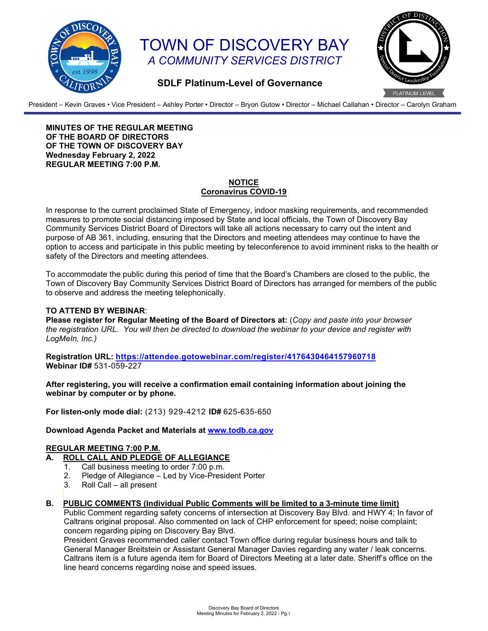

# TOWN OF DISCOVERY BAY *A COMMUNITY SERVICES DISTRICT*



## **SDLF Platinum-Level of Governance**

President – Kevin Graves • Vice President – Ashley Porter • Director – Bryon Gutow • Director – Michael Callahan • Director – Carolyn Graham

**MINUTES OF THE REGULAR MEETING OF THE BOARD OF DIRECTORS OF THE TOWN OF DISCOVERY BAY Wednesday February 2, 2022 REGULAR MEETING 7:00 P.M.**

#### **NOTICE Coronavirus COVID-19**

In response to the current proclaimed State of Emergency, indoor masking requirements, and recommended measures to promote social distancing imposed by State and local officials, the Town of Discovery Bay Community Services District Board of Directors will take all actions necessary to carry out the intent and purpose of AB 361, including, ensuring that the Directors and meeting attendees may continue to have the option to access and participate in this public meeting by teleconference to avoid imminent risks to the health or safety of the Directors and meeting attendees.

To accommodate the public during this period of time that the Board's Chambers are closed to the public, the Town of Discovery Bay Community Services District Board of Directors has arranged for members of the public to observe and address the meeting telephonically.

#### **TO ATTEND BY WEBINAR**:

**Please register for Regular Meeting of the Board of Directors at:** (*Copy and paste into your browser the registration URL. You will then be directed to download the webinar to your device and register with LogMeIn, Inc.)*

**Registration URL:<https://attendee.gotowebinar.com/register/4176430464157960718> Webinar ID#** 531-059-227

**After registering, you will receive a confirmation email containing information about joining the webinar by computer or by phone.**

**For listen-only mode dial:** (213) 929-4212 **ID#** 625-635-650

#### **Download Agenda Packet and Materials at [www.todb.ca.gov](http://www.todb.ca.gov/)**

## **REGULAR MEETING 7:00 P.M.**

## **A. ROLL CALL AND PLEDGE OF ALLEGIANCE**

- 1. Call business meeting to order 7:00 p.m.
- 2. Pledge of Allegiance Led by Vice-President Porter<br>3. Roll Call all present
- Roll Call all present
- **B. PUBLIC COMMENTS (Individual Public Comments will be limited to a 3-minute time limit)**

Public Comment regarding safety concerns of intersection at Discovery Bay Blvd. and HWY 4; In favor of Caltrans original proposal. Also commented on lack of CHP enforcement for speed; noise complaint; concern regarding piping on Discovery Bay Blvd.

President Graves recommended caller contact Town office during regular business hours and talk to General Manager Breitstein or Assistant General Manager Davies regarding any water / leak concerns. Caltrans item is a future agenda item for Board of Directors Meeting at a later date. Sheriff's office on the line heard concerns regarding noise and speed issues.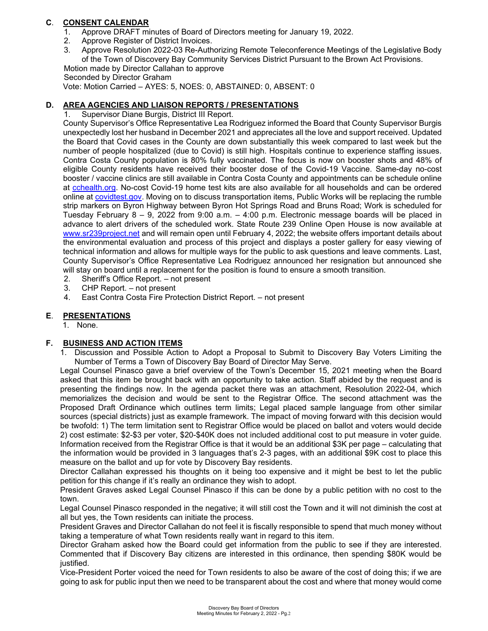## **C**. **CONSENT CALENDAR**

- 1. Approve DRAFT minutes of Board of Directors meeting for January 19, 2022.
- 2. Approve Register of District Invoices.
- 3. Approve Resolution 2022-03 Re-Authorizing Remote Teleconference Meetings of the Legislative Body of the Town of Discovery Bay Community Services District Pursuant to the Brown Act Provisions. Motion made by Director Callahan to approve

Seconded by Director Graham

Vote: Motion Carried – AYES: 5, NOES: 0, ABSTAINED: 0, ABSENT: 0

## **D. AREA AGENCIES AND LIAISON REPORTS / PRESENTATIONS**

Supervisor Diane Burgis, District III Report.

County Supervisor's Office Representative Lea Rodriguez informed the Board that County Supervisor Burgis unexpectedly lost her husband in December 2021 and appreciates all the love and support received. Updated the Board that Covid cases in the County are down substantially this week compared to last week but the number of people hospitalized (due to Covid) is still high. Hospitals continue to experience staffing issues. Contra Costa County population is 80% fully vaccinated. The focus is now on booster shots and 48% of eligible County residents have received their booster dose of the Covid-19 Vaccine. Same-day no-cost booster / vaccine clinics are still available in Contra Costa County and appointments can be schedule online at [cchealth.org.](http://www.cchealth.org/) No-cost Covid-19 home test kits are also available for all households and can be ordered online at [covidtest.gov.](http://www.covidtest.gov/) Moving on to discuss transportation items, Public Works will be replacing the rumble strip markers on Byron Highway between Byron Hot Springs Road and Bruns Road; Work is scheduled for Tuesday February 8 – 9, 2022 from 9:00 a.m. – 4:00 p.m. Electronic message boards will be placed in advance to alert drivers of the scheduled work. State Route 239 Online Open House is now available at [www.sr239project.net](http://www.sr239project.net/) and will remain open until February 4, 2022; the website offers important details about the environmental evaluation and process of this project and displays a poster gallery for easy viewing of technical information and allows for multiple ways for the public to ask questions and leave comments. Last, County Supervisor's Office Representative Lea Rodriguez announced her resignation but announced she will stay on board until a replacement for the position is found to ensure a smooth transition.

- 2. Sheriff's Office Report. not present
- 3. CHP Report. not present<br>4. Fast Contra Costa Fire Pro
- 4. East Contra Costa Fire Protection District Report. not present

## **E**. **PRESENTATIONS**

1. None.

#### **F. BUSINESS AND ACTION ITEMS**

1. Discussion and Possible Action to Adopt a Proposal to Submit to Discovery Bay Voters Limiting the Number of Terms a Town of Discovery Bay Board of Director May Serve.

Legal Counsel Pinasco gave a brief overview of the Town's December 15, 2021 meeting when the Board asked that this item be brought back with an opportunity to take action. Staff abided by the request and is presenting the findings now. In the agenda packet there was an attachment, Resolution 2022-04, which memorializes the decision and would be sent to the Registrar Office. The second attachment was the Proposed Draft Ordinance which outlines term limits; Legal placed sample language from other similar sources (special districts) just as example framework. The impact of moving forward with this decision would be twofold: 1) The term limitation sent to Registrar Office would be placed on ballot and voters would decide 2) cost estimate: \$2-\$3 per voter, \$20-\$40K does not included additional cost to put measure in voter guide. Information received from the Registrar Office is that it would be an additional \$3K per page – calculating that the information would be provided in 3 languages that's 2-3 pages, with an additional \$9K cost to place this measure on the ballot and up for vote by Discovery Bay residents.

Director Callahan expressed his thoughts on it being too expensive and it might be best to let the public petition for this change if it's really an ordinance they wish to adopt.

President Graves asked Legal Counsel Pinasco if this can be done by a public petition with no cost to the town.

Legal Counsel Pinasco responded in the negative; it will still cost the Town and it will not diminish the cost at all but yes, the Town residents can initiate the process.

President Graves and Director Callahan do not feel it is fiscally responsible to spend that much money without taking a temperature of what Town residents really want in regard to this item.

Director Graham asked how the Board could get information from the public to see if they are interested. Commented that if Discovery Bay citizens are interested in this ordinance, then spending \$80K would be justified.

Vice-President Porter voiced the need for Town residents to also be aware of the cost of doing this; if we are going to ask for public input then we need to be transparent about the cost and where that money would come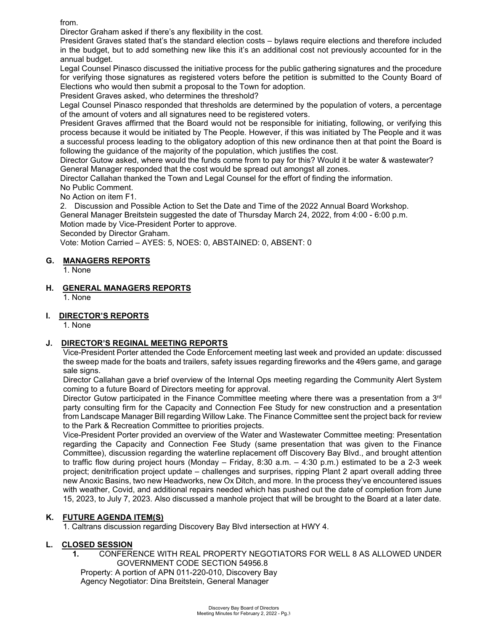from.

Director Graham asked if there's any flexibility in the cost.

President Graves stated that's the standard election costs – bylaws require elections and therefore included in the budget, but to add something new like this it's an additional cost not previously accounted for in the annual budget.

Legal Counsel Pinasco discussed the initiative process for the public gathering signatures and the procedure for verifying those signatures as registered voters before the petition is submitted to the County Board of Elections who would then submit a proposal to the Town for adoption.

President Graves asked, who determines the threshold?

Legal Counsel Pinasco responded that thresholds are determined by the population of voters, a percentage of the amount of voters and all signatures need to be registered voters.

President Graves affirmed that the Board would not be responsible for initiating, following, or verifying this process because it would be initiated by The People. However, if this was initiated by The People and it was a successful process leading to the obligatory adoption of this new ordinance then at that point the Board is following the guidance of the majority of the population, which justifies the cost.

Director Gutow asked, where would the funds come from to pay for this? Would it be water & wastewater? General Manager responded that the cost would be spread out amongst all zones.

Director Callahan thanked the Town and Legal Counsel for the effort of finding the information.

No Public Comment.

No Action on item F1.

2. Discussion and Possible Action to Set the Date and Time of the 2022 Annual Board Workshop. General Manager Breitstein suggested the date of Thursday March 24, 2022, from 4:00 - 6:00 p.m.

Motion made by Vice-President Porter to approve.

Seconded by Director Graham.

Vote: Motion Carried – AYES: 5, NOES: 0, ABSTAINED: 0, ABSENT: 0

## **G. MANAGERS REPORTS**

1. None

**H. GENERAL MANAGERS REPORTS**

1. None

## **I. DIRECTOR'S REPORTS**

1. None

#### **J. DIRECTOR'S REGINAL MEETING REPORTS**

Vice-President Porter attended the Code Enforcement meeting last week and provided an update: discussed the sweep made for the boats and trailers, safety issues regarding fireworks and the 49ers game, and garage sale signs.

Director Callahan gave a brief overview of the Internal Ops meeting regarding the Community Alert System coming to a future Board of Directors meeting for approval.

Director Gutow participated in the Finance Committee meeting where there was a presentation from a 3<sup>rd</sup> party consulting firm for the Capacity and Connection Fee Study for new construction and a presentation from Landscape Manager Bill regarding Willow Lake. The Finance Committee sent the project back for review to the Park & Recreation Committee to priorities projects.

Vice-President Porter provided an overview of the Water and Wastewater Committee meeting: Presentation regarding the Capacity and Connection Fee Study (same presentation that was given to the Finance Committee), discussion regarding the waterline replacement off Discovery Bay Blvd., and brought attention to traffic flow during project hours (Monday – Friday, 8:30 a.m. – 4:30 p.m.) estimated to be a 2-3 week project; denitrification project update – challenges and surprises, ripping Plant 2 apart overall adding three new Anoxic Basins, two new Headworks, new Ox Ditch, and more. In the process they've encountered issues with weather, Covid, and additional repairs needed which has pushed out the date of completion from June 15, 2023, to July 7, 2023. Also discussed a manhole project that will be brought to the Board at a later date.

## **K. FUTURE AGENDA ITEM(S)**

1. Caltrans discussion regarding Discovery Bay Blvd intersection at HWY 4.

#### **L. CLOSED SESSION**

 **1.** CONFERENCE WITH REAL PROPERTY NEGOTIATORS FOR WELL 8 AS ALLOWED UNDER GOVERNMENT CODE SECTION 54956.8

Property: A portion of APN 011-220-010, Discovery Bay Agency Negotiator: Dina Breitstein, General Manager